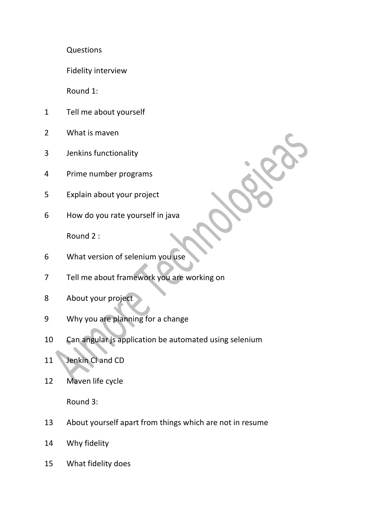Questions

Fidelity interview

Round 1:

- Tell me about yourself
- What is maven
- Jenkins functionality
- Prime number programs
- Explain about your project
- How do you rate yourself in java

Round 2 :

- What version of selenium you use
- Tell me about framework you are working on
- About your project
- Why you are planning for a change
- Can angular js application be automated using selenium
- 11 Jenkin Cl and CD
- Maven life cycle

Round 3:

- About yourself apart from things which are not in resume
- Why fidelity
- What fidelity does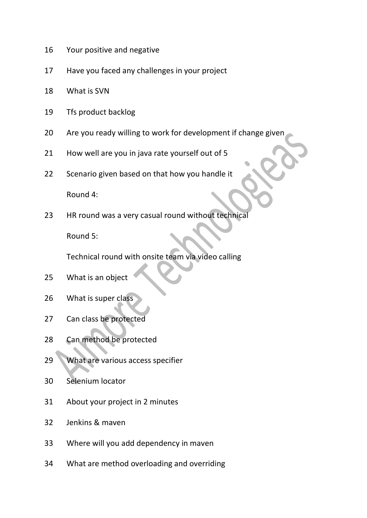- Your positive and negative
- Have you faced any challenges in your project
- What is SVN
- Tfs product backlog
- Are you ready willing to work for development if change given
- How well are you in java rate yourself out of 5
- Scenario given based on that how you handle it

Round 4:

HR round was a very casual round without technical

Round 5:

Technical round with onsite team via video calling

- What is an object
- What is super class
- Can class be protected
- Can method be protected
- 29 What are various access specifier
- Selenium locator
- About your project in 2 minutes
- Jenkins & maven
- Where will you add dependency in maven
- What are method overloading and overriding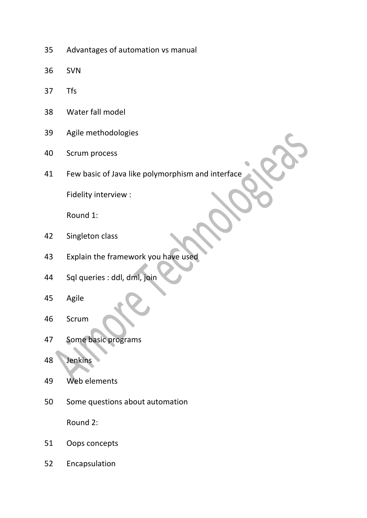- Advantages of automation vs manual
- SVN
- Tfs
- Water fall model
- Agile methodologies
- Scrum process
- Few basic of Java like polymorphism and interface

Fidelity interview :

Round 1:

- Singleton class
- Explain the framework you have used
- Sql queries : ddl, dml, join
- Agile
- Scrum
- Some basic programs
- Jenkins
- Web elements
- Some questions about automation

Round 2:

- Oops concepts
- Encapsulation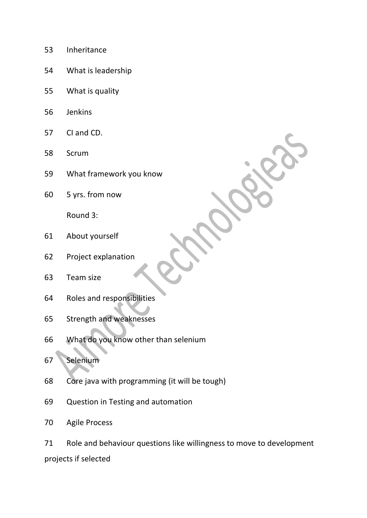- Inheritance
- What is leadership
- What is quality
- Jenkins
- CI and CD.
- Scrum
- What framework you know
- 5 yrs. from now

Round 3:

- About yourself
- Project explanation
- Team size
- Roles and responsibilities
- Strength and weaknesses
- What do you know other than selenium
- Selenium
- Core java with programming (it will be tough)
- Question in Testing and automation
- Agile Process

 Role and behaviour questions like willingness to move to development projects if selected